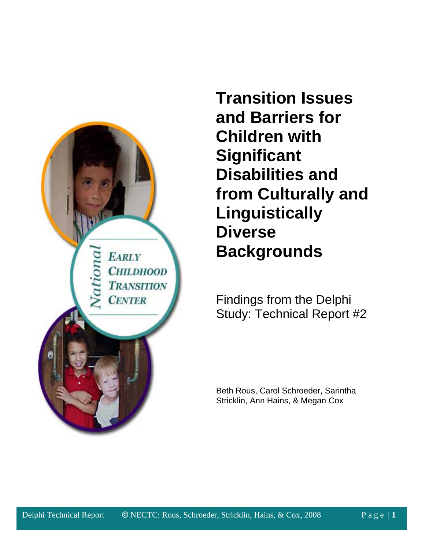

**Transition Issues and Barriers for Children with Significant Disabilities and from Culturally and Linguistically Diverse Backgrounds**

Findings from the Delphi Study: Technical Report #2

Beth Rous, Carol Schroeder, Sarintha Stricklin, Ann Hains, & Megan Cox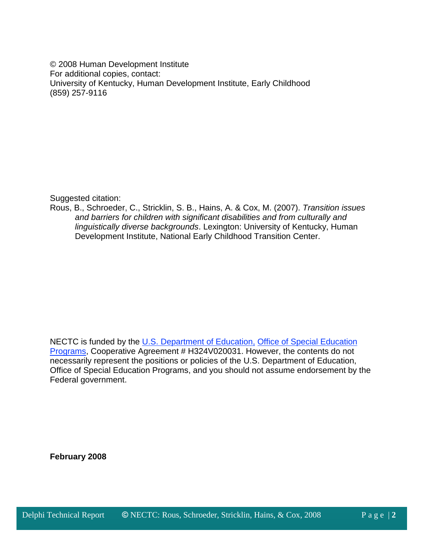© 2008 Human Development Institute For additional copies, contact: University of Kentucky, Human Development Institute, Early Childhood (859) 257-9116

Suggested citation:

Rous, B., Schroeder, C., Stricklin, S. B., Hains, A. & Cox, M. (2007). *Transition issues and barriers for children with significant disabilities and from culturally and linguistically diverse backgrounds*. Lexington: University of Kentucky, Human Development Institute, National Early Childhood Transition Center.

NECTC is funded by the [U.S. Department of Education,](http://www.ed.gov/) [Office of Special Education](http://www.ed.gov/offices/OSERS/OSEP/index.html)  [Programs,](http://www.ed.gov/offices/OSERS/OSEP/index.html) Cooperative Agreement # H324V020031. However, the contents do not necessarily represent the positions or policies of the U.S. Department of Education, Office of Special Education Programs, and you should not assume endorsement by the Federal government.

**February 2008**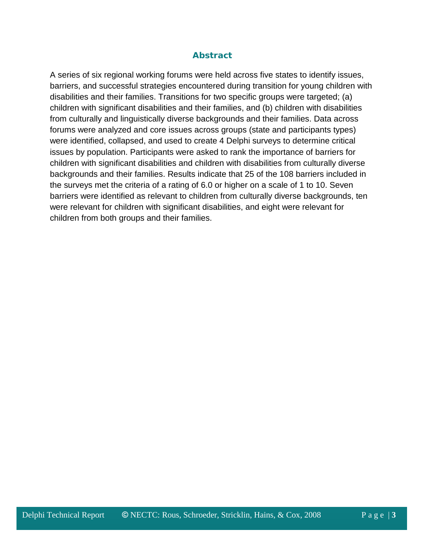## *Abstract*

A series of six regional working forums were held across five states to identify issues, barriers, and successful strategies encountered during transition for young children with disabilities and their families. Transitions for two specific groups were targeted; (a) children with significant disabilities and their families, and (b) children with disabilities from culturally and linguistically diverse backgrounds and their families. Data across forums were analyzed and core issues across groups (state and participants types) were identified, collapsed, and used to create 4 Delphi surveys to determine critical issues by population. Participants were asked to rank the importance of barriers for children with significant disabilities and children with disabilities from culturally diverse backgrounds and their families. Results indicate that 25 of the 108 barriers included in the surveys met the criteria of a rating of 6.0 or higher on a scale of 1 to 10. Seven barriers were identified as relevant to children from culturally diverse backgrounds, ten were relevant for children with significant disabilities, and eight were relevant for children from both groups and their families.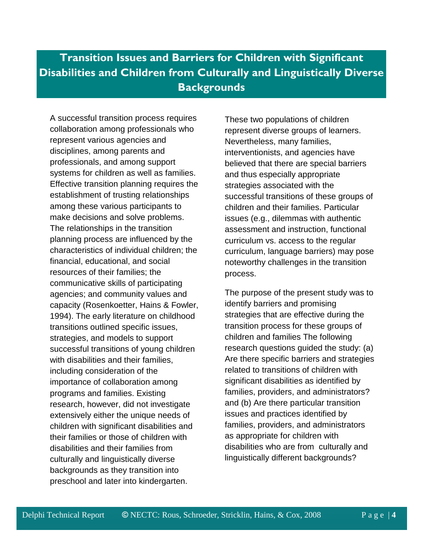# **Transition Issues and Barriers for Children with Significant Disabilities and Children from Culturally and Linguistically Diverse Backgrounds**

A successful transition process requires collaboration among professionals who represent various agencies and disciplines, among parents and professionals, and among support systems for children as well as families. Effective transition planning requires the establishment of trusting relationships among these various participants to make decisions and solve problems. The relationships in the transition planning process are influenced by the characteristics of individual children; the financial, educational, and social resources of their families; the communicative skills of participating agencies; and community values and capacity (Rosenkoetter, Hains & Fowler, 1994). The early literature on childhood transitions outlined specific issues, strategies, and models to support successful transitions of young children with disabilities and their families, including consideration of the importance of collaboration among programs and families. Existing research, however, did not investigate extensively either the unique needs of children with significant disabilities and their families or those of children with disabilities and their families from culturally and linguistically diverse backgrounds as they transition into preschool and later into kindergarten.

These two populations of children represent diverse groups of learners. Nevertheless, many families, interventionists, and agencies have believed that there are special barriers and thus especially appropriate strategies associated with the successful transitions of these groups of children and their families. Particular issues (e.g., dilemmas with authentic assessment and instruction, functional curriculum vs. access to the regular curriculum, language barriers) may pose noteworthy challenges in the transition process.

The purpose of the present study was to identify barriers and promising strategies that are effective during the transition process for these groups of children and families The following research questions guided the study: (a) Are there specific barriers and strategies related to transitions of children with significant disabilities as identified by families, providers, and administrators? and (b) Are there particular transition issues and practices identified by families, providers, and administrators as appropriate for children with disabilities who are from culturally and linguistically different backgrounds?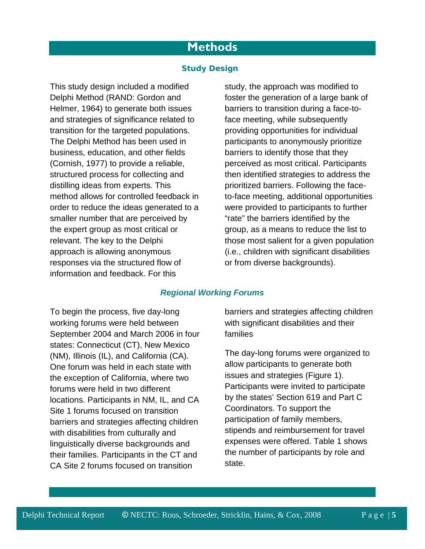# **Methods**

## *Study Design*

This study design included a modified Delphi Method (RAND: Gordon and Helmer, 1964) to generate both issues and strategies of significance related to transition for the targeted populations. The Delphi Method has been used in business, education, and other fields (Cornish, 1977) to provide a reliable, structured process for collecting and distilling ideas from experts. This method allows for controlled feedback in order to reduce the ideas generated to a smaller number that are perceived by the expert group as most critical or relevant. The key to the Delphi approach is allowing anonymous responses via the structured flow of information and feedback. For this

study, the approach was modified to foster the generation of a large bank of barriers to transition during a face-toface meeting, while subsequently providing opportunities for individual participants to anonymously prioritize barriers to identify those that they perceived as most critical. Participants then identified strategies to address the prioritized barriers. Following the faceto-face meeting, additional opportunities were provided to participants to further "rate" the barriers identified by the group, as a means to reduce the list to those most salient for a given population (i.e., children with significant disabilities or from diverse backgrounds).

### *Regional Working Forums*

To begin the process, five day-long working forums were held between September 2004 and March 2006 in four states: Connecticut (CT), New Mexico (NM), Illinois (IL), and California (CA). One forum was held in each state with the exception of California, where two forums were held in two different locations. Participants in NM, IL, and CA Site 1 forums focused on transition barriers and strategies affecting children with disabilities from culturally and linguistically diverse backgrounds and their families. Participants in the CT and CA Site 2 forums focused on transition

barriers and strategies affecting children with significant disabilities and their families

The day-long forums were organized to allow participants to generate both issues and strategies (Figure 1). Participants were invited to participate by the states' Section 619 and Part C Coordinators. To support the participation of family members, stipends and reimbursement for travel expenses were offered. Table 1 shows the number of participants by role and state.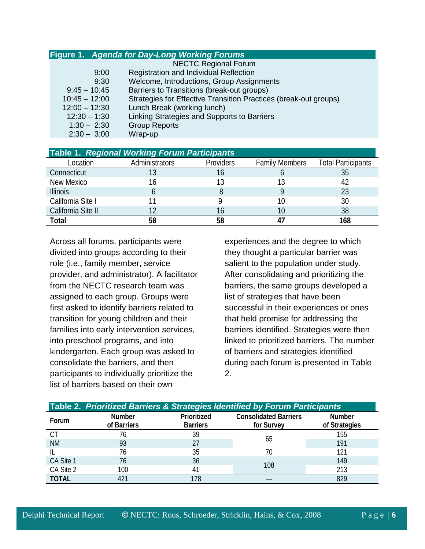|                 | <b>Figure 1. Agenda for Day-Long Working Forums</b>              |
|-----------------|------------------------------------------------------------------|
|                 | <b>NECTC Regional Forum</b>                                      |
| 9:00            | <b>Registration and Individual Reflection</b>                    |
| 9:30            | Welcome, Introductions, Group Assignments                        |
| $9:45 - 10:45$  | Barriers to Transitions (break-out groups)                       |
| $10:45 - 12:00$ | Strategies for Effective Transition Practices (break-out groups) |
| $12:00 - 12:30$ | Lunch Break (working lunch)                                      |
| $12:30 - 1:30$  | Linking Strategies and Supports to Barriers                      |
| $1:30 - 2:30$   | <b>Group Reports</b>                                             |
| $2:30 - 3:00$   | Wrap-up                                                          |

|                    | <b>Table 1. Regional Working Forum Participants</b> |                  |                       |                           |
|--------------------|-----------------------------------------------------|------------------|-----------------------|---------------------------|
| Location           | Administrators                                      | <b>Providers</b> | <b>Family Members</b> | <b>Total Participants</b> |
| Connecticut        |                                                     |                  |                       |                           |
| New Mexico         | 16                                                  |                  |                       |                           |
| <b>Illinois</b>    |                                                     |                  |                       |                           |
| California Site I  |                                                     |                  |                       | 30                        |
| California Site II |                                                     |                  |                       | 38                        |
| Total              | 58                                                  |                  |                       |                           |

Across all forums, participants were divided into groups according to their role (i.e., family member, service provider, and administrator). A facilitator from the NECTC research team was assigned to each group. Groups were first asked to identify barriers related to transition for young children and their families into early intervention services, into preschool programs, and into kindergarten. Each group was asked to consolidate the barriers, and then participants to individually prioritize the list of barriers based on their own

experiences and the degree to which they thought a particular barrier was salient to the population under study. After consolidating and prioritizing the barriers, the same groups developed a list of strategies that have been successful in their experiences or ones that held promise for addressing the barriers identified. Strategies were then linked to prioritized barriers. The number of barriers and strategies identified during each forum is presented in Table 2.

| Table 2. Prioritized Barriers & Strategies Identified by Forum Participants |                              |                                |                                            |                                |  |  |
|-----------------------------------------------------------------------------|------------------------------|--------------------------------|--------------------------------------------|--------------------------------|--|--|
| Forum                                                                       | <b>Number</b><br>of Barriers | Prioritized<br><b>Barriers</b> | <b>Consolidated Barriers</b><br>for Survey | <b>Number</b><br>of Strategies |  |  |
| <b>CT</b>                                                                   | 76                           | 39                             |                                            | 155                            |  |  |
| <b>NM</b>                                                                   | 93                           | 27                             | 65                                         | 191                            |  |  |
|                                                                             | 76                           | 35                             | 70                                         | 121                            |  |  |
| CA Site 1                                                                   | 76                           | 36                             |                                            | 149                            |  |  |
| CA Site 2                                                                   | 100                          | 4 <sup>1</sup>                 | 108                                        | 213                            |  |  |
| <b>TOTAL</b>                                                                |                              | 178                            |                                            | 829                            |  |  |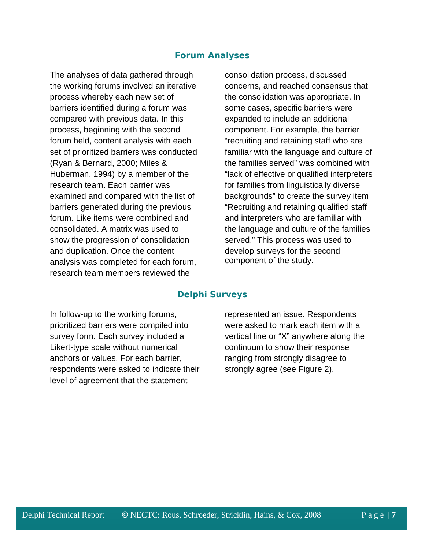## *Forum Analyses*

The analyses of data gathered through the working forums involved an iterative process whereby each new set of barriers identified during a forum was compared with previous data. In this process, beginning with the second forum held, content analysis with each set of prioritized barriers was conducted (Ryan & Bernard, 2000; Miles & Huberman, 1994) by a member of the research team. Each barrier was examined and compared with the list of barriers generated during the previous forum. Like items were combined and consolidated. A matrix was used to show the progression of consolidation and duplication. Once the content analysis was completed for each forum, research team members reviewed the

consolidation process, discussed concerns, and reached consensus that the consolidation was appropriate. In some cases, specific barriers were expanded to include an additional component. For example, the barrier "recruiting and retaining staff who are familiar with the language and culture of the families served" was combined with "lack of effective or qualified interpreters for families from linguistically diverse backgrounds" to create the survey item "Recruiting and retaining qualified staff and interpreters who are familiar with the language and culture of the families served." This process was used to develop surveys for the second component of the study.

#### *Delphi Surveys*

In follow-up to the working forums, prioritized barriers were compiled into survey form. Each survey included a Likert-type scale without numerical anchors or values. For each barrier, respondents were asked to indicate their level of agreement that the statement

represented an issue. Respondents were asked to mark each item with a vertical line or "X" anywhere along the continuum to show their response ranging from strongly disagree to strongly agree (see Figure 2).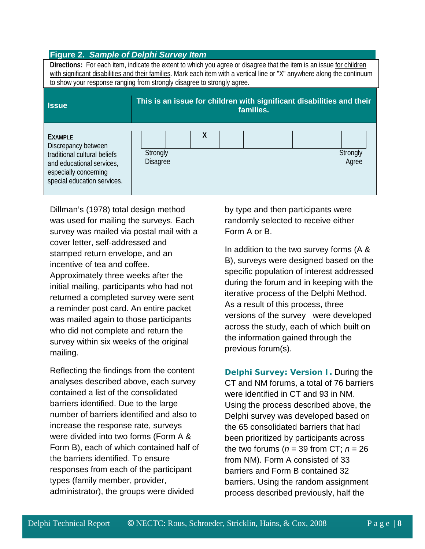| <b>Figure 2. Sample of Delphi Survey Item</b>                                                                                                                                                                                                                                                                                |                                                                                    |  |  |  |  |
|------------------------------------------------------------------------------------------------------------------------------------------------------------------------------------------------------------------------------------------------------------------------------------------------------------------------------|------------------------------------------------------------------------------------|--|--|--|--|
| Directions: For each item, indicate the extent to which you agree or disagree that the item is an issue for children<br>with significant disabilities and their families. Mark each item with a vertical line or "X" anywhere along the continuum<br>to show your response ranging from strongly disagree to strongly agree. |                                                                                    |  |  |  |  |
| <b>Issue</b>                                                                                                                                                                                                                                                                                                                 | This is an issue for children with significant disabilities and their<br>families. |  |  |  |  |
| <b>EXAMPLE</b><br>Discrepancy between<br>traditional cultural beliefs<br>and educational services.<br>especially concerning<br>special education services.                                                                                                                                                                   | X<br>Strongly<br>Strongly<br><b>Disagree</b><br>Agree                              |  |  |  |  |

Dillman's (1978) total design method was used for mailing the surveys. Each survey was mailed via postal mail with a cover letter, self-addressed and stamped return envelope, and an incentive of tea and coffee. Approximately three weeks after the initial mailing, participants who had not returned a completed survey were sent a reminder post card. An entire packet was mailed again to those participants who did not complete and return the survey within six weeks of the original mailing.

Reflecting the findings from the content analyses described above, each survey contained a list of the consolidated barriers identified. Due to the large number of barriers identified and also to increase the response rate, surveys were divided into two forms (Form A & Form B), each of which contained half of the barriers identified. To ensure responses from each of the participant types (family member, provider, administrator), the groups were divided

by type and then participants were randomly selected to receive either Form A or B.

In addition to the two survey forms (A & B), surveys were designed based on the specific population of interest addressed during the forum and in keeping with the iterative process of the Delphi Method. As a result of this process, three versions of the survey were developed across the study, each of which built on the information gained through the previous forum(s).

*Delphi Survey: Version I.* During the CT and NM forums, a total of 76 barriers were identified in CT and 93 in NM. Using the process described above, the Delphi survey was developed based on the 65 consolidated barriers that had been prioritized by participants across the two forums (*n* = 39 from CT; *n* = 26 from NM). Form A consisted of 33 barriers and Form B contained 32 barriers. Using the random assignment process described previously, half the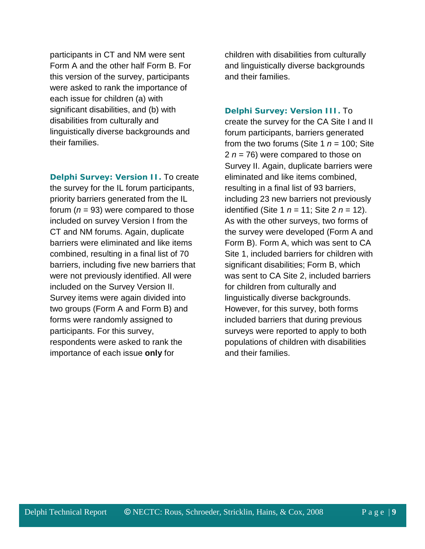participants in CT and NM were sent Form A and the other half Form B. For this version of the survey, participants were asked to rank the importance of each issue for children (a) with significant disabilities, and (b) with disabilities from culturally and linguistically diverse backgrounds and their families.

*Delphi Survey: Version II.* To create the survey for the IL forum participants, priority barriers generated from the IL forum  $(n = 93)$  were compared to those included on survey Version I from the CT and NM forums. Again, duplicate barriers were eliminated and like items combined, resulting in a final list of 70 barriers, including five new barriers that were not previously identified. All were included on the Survey Version II. Survey items were again divided into two groups (Form A and Form B) and forms were randomly assigned to participants. For this survey, respondents were asked to rank the importance of each issue **only** for

children with disabilities from culturally and linguistically diverse backgrounds and their families.

## *Delphi Survey: Version III.* To

create the survey for the CA Site I and II forum participants, barriers generated from the two forums (Site 1  $n = 100$ ; Site 2 *n* = 76) were compared to those on Survey II. Again, duplicate barriers were eliminated and like items combined, resulting in a final list of 93 barriers, including 23 new barriers not previously identified (Site 1 *n* = 11; Site 2 *n* = 12). As with the other surveys, two forms of the survey were developed (Form A and Form B). Form A, which was sent to CA Site 1, included barriers for children with significant disabilities; Form B, which was sent to CA Site 2, included barriers for children from culturally and linguistically diverse backgrounds. However, for this survey, both forms included barriers that during previous surveys were reported to apply to both populations of children with disabilities and their families.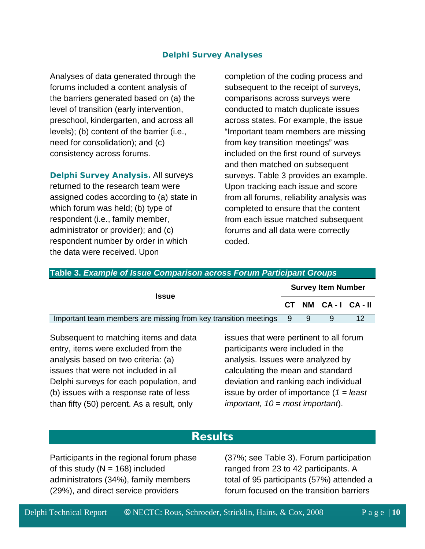## *Delphi Survey Analyses*

Analyses of data generated through the forums included a content analysis of the barriers generated based on (a) the level of transition (early intervention, preschool, kindergarten, and across all levels); (b) content of the barrier (i.e., need for consolidation); and (c) consistency across forums.

*Delphi Survey Analysis.* All surveys returned to the research team were assigned codes according to (a) state in which forum was held; (b) type of respondent (i.e., family member, administrator or provider); and (c) respondent number by order in which the data were received. Upon

completion of the coding process and subsequent to the receipt of surveys, comparisons across surveys were conducted to match duplicate issues across states. For example, the issue "Important team members are missing from key transition meetings" was included on the first round of surveys and then matched on subsequent surveys. Table 3 provides an example. Upon tracking each issue and score from all forums, reliability analysis was completed to ensure that the content from each issue matched subsequent forums and all data were correctly coded.

| Table 3. Example of Issue Comparison across Forum Participant Groups |                           |  |                  |    |  |  |
|----------------------------------------------------------------------|---------------------------|--|------------------|----|--|--|
|                                                                      | <b>Survey Item Number</b> |  |                  |    |  |  |
| <b>Issue</b>                                                         |                           |  | CT NM CA-I CA-II |    |  |  |
| Important team members are missing from key transition meetings      | - 9                       |  |                  | 12 |  |  |

Subsequent to matching items and data entry, items were excluded from the analysis based on two criteria: (a) issues that were not included in all Delphi surveys for each population, and (b) issues with a response rate of less than fifty (50) percent. As a result, only

issues that were pertinent to all forum participants were included in the analysis. Issues were analyzed by calculating the mean and standard deviation and ranking each individual issue by order of importance (*1 = least important, 10 = most important*).

## **Results**

Participants in the regional forum phase of this study ( $N = 168$ ) included administrators (34%), family members (29%), and direct service providers

(37%; see Table 3). Forum participation ranged from 23 to 42 participants. A total of 95 participants (57%) attended a forum focused on the transition barriers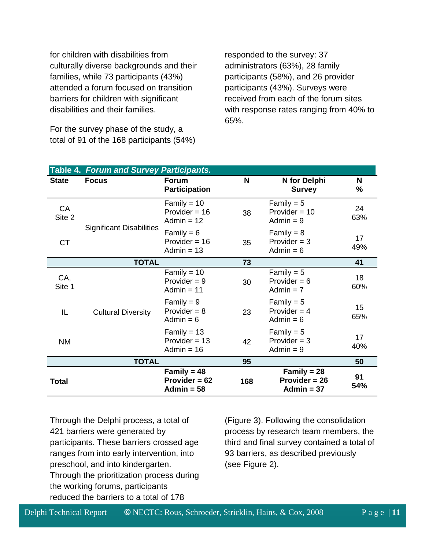for children with disabilities from culturally diverse backgrounds and their families, while 73 participants (43%) attended a forum focused on transition barriers for children with significant disabilities and their families.

For the survey phase of the study, a total of 91 of the 168 participants (54%) responded to the survey: 37 administrators (63%), 28 family participants (58%), and 26 provider participants (43%). Surveys were received from each of the forum sites with response rates ranging from 40% to 65%.

|               | <b>Table 4. Forum and Survey Participants.</b> |                                                  |     |                                                  |           |
|---------------|------------------------------------------------|--------------------------------------------------|-----|--------------------------------------------------|-----------|
| <b>State</b>  | <b>Focus</b>                                   | <b>Forum</b><br><b>Participation</b>             | N   | N for Delphi<br><b>Survey</b>                    | N<br>%    |
| CA<br>Site 2  |                                                | Family = $10$<br>Provider = $16$<br>Admin = $12$ | 38  | Family = $5$<br>Provider = $10$<br>Admin $= 9$   | 24<br>63% |
| <b>CT</b>     | <b>Significant Disabilities</b>                | Family = $6$<br>Provider = $16$<br>Admin $= 13$  | 35  | Family = $8$<br>Provider $=$ 3<br>Admin $= 6$    | 17<br>49% |
|               | <b>TOTAL</b>                                   |                                                  | 73  |                                                  | 41        |
| CA,<br>Site 1 |                                                | Family = $10$<br>Provider $= 9$<br>Admin $= 11$  | 30  | Family = $5$<br>Provider = $6$<br>Admin $= 7$    | 18<br>60% |
| IL            | <b>Cultural Diversity</b>                      | Family = $9$<br>Provider $= 8$<br>Admin $= 6$    | 23  | Family = $5$<br>Provider = $4$<br>Admin $= 6$    | 15<br>65% |
| <b>NM</b>     |                                                | Family = $13$<br>Provider = $13$<br>Admin = $16$ | 42  | Family = $5$<br>Provider $=$ 3<br>Admin $= 9$    |           |
|               | <b>TOTAL</b>                                   |                                                  | 95  |                                                  | 50        |
| <b>Total</b>  |                                                | Family = $48$<br>Provider = $62$<br>Admin = $58$ | 168 | Family = $28$<br>Provider $= 26$<br>Admin = $37$ | 91<br>54% |

Through the Delphi process, a total of 421 barriers were generated by participants. These barriers crossed age ranges from into early intervention, into preschool, and into kindergarten. Through the prioritization process during the working forums, participants reduced the barriers to a total of 178

(Figure 3). Following the consolidation process by research team members, the third and final survey contained a total of 93 barriers, as described previously (see Figure 2).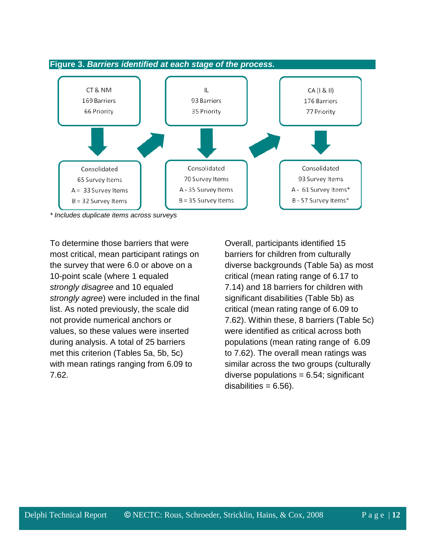

*\* Includes duplicate items across surveys*

To determine those barriers that were most critical, mean participant ratings on the survey that were 6.0 or above on a 10-point scale (where 1 equaled *strongly disagree* and 10 equaled *strongly agree*) were included in the final list. As noted previously, the scale did not provide numerical anchors or values, so these values were inserted during analysis. A total of 25 barriers met this criterion (Tables 5a, 5b, 5c) with mean ratings ranging from 6.09 to 7.62.

Overall, participants identified 15 barriers for children from culturally diverse backgrounds (Table 5a) as most critical (mean rating range of 6.17 to 7.14) and 18 barriers for children with significant disabilities (Table 5b) as critical (mean rating range of 6.09 to 7.62). Within these, 8 barriers (Table 5c) were identified as critical across both populations (mean rating range of 6.09 to 7.62). The overall mean ratings was similar across the two groups (culturally diverse populations  $= 6.54$ ; significant  $disabilities = 6.56$ ).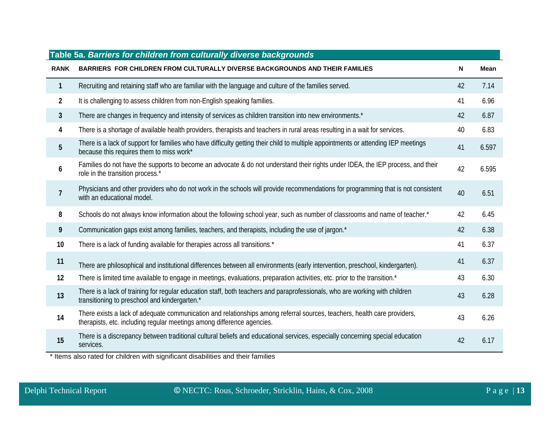| Table 5a. Barriers for children from culturally diverse backgrounds |                                                                                                                                                                                                    |    |             |  |  |  |
|---------------------------------------------------------------------|----------------------------------------------------------------------------------------------------------------------------------------------------------------------------------------------------|----|-------------|--|--|--|
| <b>RANK</b>                                                         | BARRIERS FOR CHILDREN FROM CULTURALLY DIVERSE BACKGROUNDS AND THEIR FAMILIES                                                                                                                       | N  | <b>Mean</b> |  |  |  |
| $\mathbf{1}$                                                        | Recruiting and retaining staff who are familiar with the language and culture of the families served.                                                                                              | 42 | 7.14        |  |  |  |
| $\overline{2}$                                                      | It is challenging to assess children from non-English speaking families.                                                                                                                           | 41 | 6.96        |  |  |  |
| $\overline{3}$                                                      | There are changes in frequency and intensity of services as children transition into new environments.*                                                                                            | 42 | 6.87        |  |  |  |
| 4                                                                   | There is a shortage of available health providers, therapists and teachers in rural areas resulting in a wait for services.                                                                        | 40 | 6.83        |  |  |  |
| $\overline{5}$                                                      | There is a lack of support for families who have difficulty getting their child to multiple appointments or attending IEP meetings<br>because this requires them to miss work*                     | 41 | 6.597       |  |  |  |
| 6                                                                   | Families do not have the supports to become an advocate & do not understand their rights under IDEA, the IEP process, and their<br>role in the transition process.*                                | 42 | 6.595       |  |  |  |
| $\overline{7}$                                                      | Physicians and other providers who do not work in the schools will provide recommendations for programming that is not consistent<br>with an educational model.                                    | 40 | 6.51        |  |  |  |
| 8                                                                   | Schools do not always know information about the following school year, such as number of classrooms and name of teacher.*                                                                         | 42 | 6.45        |  |  |  |
| 9                                                                   | Communication gaps exist among families, teachers, and therapists, including the use of jargon.*                                                                                                   | 42 | 6.38        |  |  |  |
| 10                                                                  | There is a lack of funding available for therapies across all transitions.*                                                                                                                        | 41 | 6.37        |  |  |  |
| 11                                                                  | There are philosophical and institutional differences between all environments (early intervention, preschool, kindergarten).                                                                      | 41 | 6.37        |  |  |  |
| 12                                                                  | There is limited time available to engage in meetings, evaluations, preparation activities, etc. prior to the transition.*                                                                         | 43 | 6.30        |  |  |  |
| 13                                                                  | There is a lack of training for regular education staff, both teachers and paraprofessionals, who are working with children<br>transitioning to preschool and kindergarten.*                       | 43 | 6.28        |  |  |  |
| 14                                                                  | There exists a lack of adequate communication and relationships among referral sources, teachers, health care providers,<br>therapists, etc. including regular meetings among difference agencies. | 43 | 6.26        |  |  |  |
| 15                                                                  | There is a discrepancy between traditional cultural beliefs and educational services, especially concerning special education<br>services.                                                         | 42 | 6.17        |  |  |  |

\* Items also rated for children with significant disabilities and their families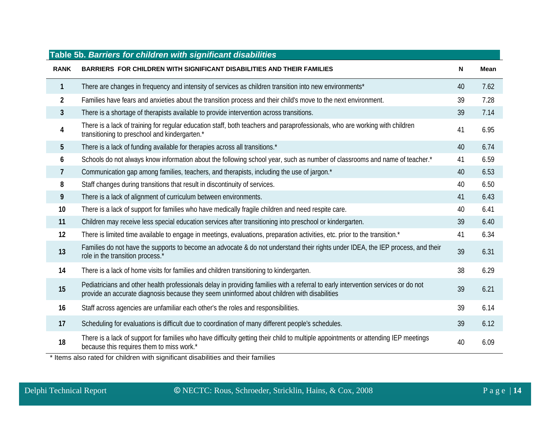| Table 5b. Barriers for children with significant disabilities |                                                                                                                                                                                                                                  |    |             |  |  |  |
|---------------------------------------------------------------|----------------------------------------------------------------------------------------------------------------------------------------------------------------------------------------------------------------------------------|----|-------------|--|--|--|
| <b>RANK</b>                                                   | BARRIERS FOR CHILDREN WITH SIGNIFICANT DISABILITIES AND THEIR FAMILIES                                                                                                                                                           | N  | <b>Mean</b> |  |  |  |
| $\mathbf{1}$                                                  | There are changes in frequency and intensity of services as children transition into new environments*                                                                                                                           | 40 | 7.62        |  |  |  |
| $\overline{2}$                                                | Families have fears and anxieties about the transition process and their child's move to the next environment.                                                                                                                   | 39 | 7.28        |  |  |  |
| $\mathbf{3}$                                                  | There is a shortage of therapists available to provide intervention across transitions.                                                                                                                                          | 39 | 7.14        |  |  |  |
| 4                                                             | There is a lack of training for regular education staff, both teachers and paraprofessionals, who are working with children<br>transitioning to preschool and kindergarten.*                                                     | 41 | 6.95        |  |  |  |
| 5                                                             | There is a lack of funding available for therapies across all transitions.*                                                                                                                                                      | 40 | 6.74        |  |  |  |
| 6                                                             | Schools do not always know information about the following school year, such as number of classrooms and name of teacher.*                                                                                                       | 41 | 6.59        |  |  |  |
| 7                                                             | Communication gap among families, teachers, and therapists, including the use of jargon.*                                                                                                                                        | 40 | 6.53        |  |  |  |
| 8                                                             | Staff changes during transitions that result in discontinuity of services.                                                                                                                                                       | 40 | 6.50        |  |  |  |
| 9                                                             | There is a lack of alignment of curriculum between environments.                                                                                                                                                                 | 41 | 6.43        |  |  |  |
| 10                                                            | There is a lack of support for families who have medically fragile children and need respite care.                                                                                                                               | 40 | 6.41        |  |  |  |
| 11                                                            | Children may receive less special education services after transitioning into preschool or kindergarten.                                                                                                                         | 39 | 6.40        |  |  |  |
| 12                                                            | There is limited time available to engage in meetings, evaluations, preparation activities, etc. prior to the transition.*                                                                                                       | 41 | 6.34        |  |  |  |
| 13                                                            | Families do not have the supports to become an advocate & do not understand their rights under IDEA, the IEP process, and their<br>role in the transition process.*                                                              | 39 | 6.31        |  |  |  |
| 14                                                            | There is a lack of home visits for families and children transitioning to kindergarten.                                                                                                                                          | 38 | 6.29        |  |  |  |
| 15                                                            | Pediatricians and other health professionals delay in providing families with a referral to early intervention services or do not<br>provide an accurate diagnosis because they seem uninformed about children with disabilities | 39 | 6.21        |  |  |  |
| 16                                                            | Staff across agencies are unfamiliar each other's the roles and responsibilities.                                                                                                                                                | 39 | 6.14        |  |  |  |
| 17                                                            | Scheduling for evaluations is difficult due to coordination of many different people's schedules.                                                                                                                                | 39 | 6.12        |  |  |  |
| 18                                                            | There is a lack of support for families who have difficulty getting their child to multiple appointments or attending IEP meetings<br>because this requires them to miss work.*<br>$\cdots$                                      | 40 | 6.09        |  |  |  |

\* Items also rated for children with significant disabilities and their families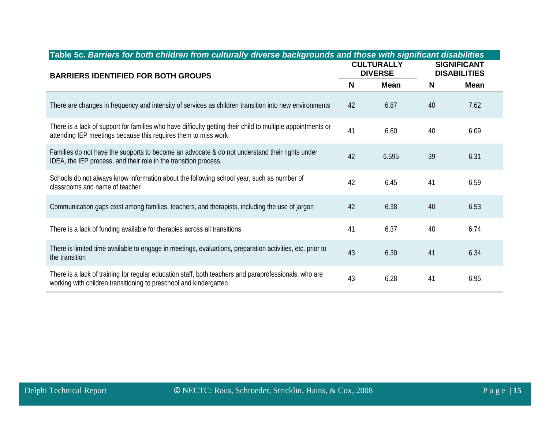| Table 5c. Barriers for both children from culturally diverse backgrounds and those with significant disabilities                                                              |    |                                     |    |                                           |  |
|-------------------------------------------------------------------------------------------------------------------------------------------------------------------------------|----|-------------------------------------|----|-------------------------------------------|--|
| <b>BARRIERS IDENTIFIED FOR BOTH GROUPS</b>                                                                                                                                    |    | <b>CULTURALLY</b><br><b>DIVERSE</b> |    | <b>SIGNIFICANT</b><br><b>DISABILITIES</b> |  |
|                                                                                                                                                                               | N  | <b>Mean</b>                         | N  | <b>Mean</b>                               |  |
| There are changes in frequency and intensity of services as children transition into new environments                                                                         | 42 | 6.87                                | 40 | 7.62                                      |  |
| There is a lack of support for families who have difficulty getting their child to multiple appointments or<br>attending IEP meetings because this requires them to miss work | 41 | 6.60                                | 40 | 6.09                                      |  |
| Families do not have the supports to become an advocate & do not understand their rights under<br>IDEA, the IEP process, and their role in the transition process.            | 42 | 6.595                               | 39 | 6.31                                      |  |
| Schools do not always know information about the following school year, such as number of<br>classrooms and name of teacher                                                   | 42 | 6.45                                | 41 | 6.59                                      |  |
| Communication gaps exist among families, teachers, and therapists, including the use of jargon                                                                                | 42 | 6.38                                | 40 | 6.53                                      |  |
| There is a lack of funding available for therapies across all transitions                                                                                                     | 41 | 6.37                                | 40 | 6.74                                      |  |
| There is limited time available to engage in meetings, evaluations, preparation activities, etc. prior to<br>the transition                                                   | 43 | 6.30                                | 41 | 6.34                                      |  |
| There is a lack of training for regular education staff, both teachers and paraprofessionals, who are<br>working with children transitioning to preschool and kindergarten    | 43 | 6.28                                | 41 | 6.95                                      |  |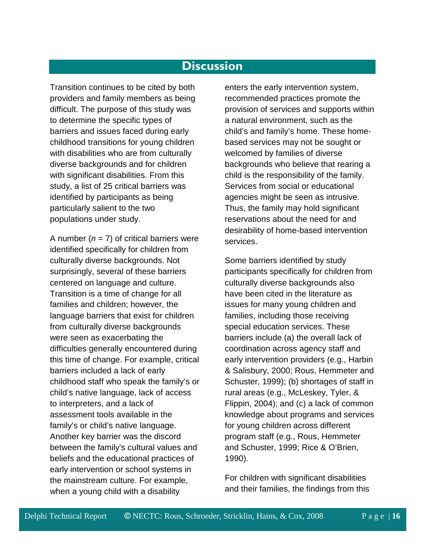## **Discussion**

Transition continues to be cited by both providers and family members as being difficult. The purpose of this study was to determine the specific types of barriers and issues faced during early childhood transitions for young children with disabilities who are from culturally diverse backgrounds and for children with significant disabilities. From this study, a list of 25 critical barriers was identified by participants as being particularly salient to the two populations under study.

A number  $(n = 7)$  of critical barriers were identified specifically for children from culturally diverse backgrounds. Not surprisingly, several of these barriers centered on language and culture. Transition is a time of change for all families and children; however, the language barriers that exist for children from culturally diverse backgrounds were seen as exacerbating the difficulties generally encountered during this time of change. For example, critical barriers included a lack of early childhood staff who speak the family's or child's native language, lack of access to interpreters, and a lack of assessment tools available in the family's or child's native language. Another key barrier was the discord between the family's cultural values and beliefs and the educational practices of early intervention or school systems in the mainstream culture. For example, when a young child with a disability

enters the early intervention system, recommended practices promote the provision of services and supports within a natural environment, such as the child's and family's home. These homebased services may not be sought or welcomed by families of diverse backgrounds who believe that rearing a child is the responsibility of the family. Services from social or educational agencies might be seen as intrusive. Thus, the family may hold significant reservations about the need for and desirability of home-based intervention services.

Some barriers identified by study participants specifically for children from culturally diverse backgrounds also have been cited in the literature as issues for many young children and families, including those receiving special education services. These barriers include (a) the overall lack of coordination across agency staff and early intervention providers (e.g., Harbin & Salisbury, 2000; Rous, Hemmeter and Schuster, 1999); (b) shortages of staff in rural areas (e.g., McLeskey, Tyler, & Flippin, 2004); and (c) a lack of common knowledge about programs and services for young children across different program staff (e.g., Rous, Hemmeter and Schuster, 1999; Rice & O'Brien, 1990).

For children with significant disabilities and their families, the findings from this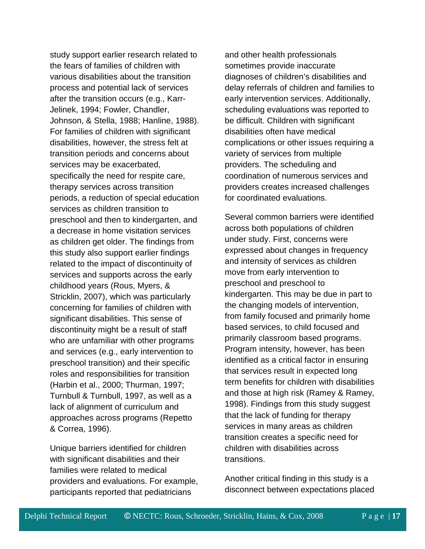study support earlier research related to the fears of families of children with various disabilities about the transition process and potential lack of services after the transition occurs (e.g., Karr-Jelinek, 1994; Fowler, Chandler, Johnson, & Stella, 1988; Hanline, 1988). For families of children with significant disabilities, however, the stress felt at transition periods and concerns about services may be exacerbated, specifically the need for respite care, therapy services across transition periods, a reduction of special education services as children transition to preschool and then to kindergarten, and a decrease in home visitation services as children get older. The findings from this study also support earlier findings related to the impact of discontinuity of services and supports across the early childhood years (Rous, Myers, & Stricklin, 2007), which was particularly concerning for families of children with significant disabilities. This sense of discontinuity might be a result of staff who are unfamiliar with other programs and services (e.g., early intervention to preschool transition) and their specific roles and responsibilities for transition (Harbin et al., 2000; Thurman, 1997; Turnbull & Turnbull, 1997, as well as a lack of alignment of curriculum and approaches across programs (Repetto & Correa, 1996).

Unique barriers identified for children with significant disabilities and their families were related to medical providers and evaluations. For example, participants reported that pediatricians

and other health professionals sometimes provide inaccurate diagnoses of children's disabilities and delay referrals of children and families to early intervention services. Additionally, scheduling evaluations was reported to be difficult. Children with significant disabilities often have medical complications or other issues requiring a variety of services from multiple providers. The scheduling and coordination of numerous services and providers creates increased challenges for coordinated evaluations.

Several common barriers were identified across both populations of children under study. First, concerns were expressed about changes in frequency and intensity of services as children move from early intervention to preschool and preschool to kindergarten. This may be due in part to the changing models of intervention, from family focused and primarily home based services, to child focused and primarily classroom based programs. Program intensity, however, has been identified as a critical factor in ensuring that services result in expected long term benefits for children with disabilities and those at high risk (Ramey & Ramey, 1998). Findings from this study suggest that the lack of funding for therapy services in many areas as children transition creates a specific need for children with disabilities across transitions.

Another critical finding in this study is a disconnect between expectations placed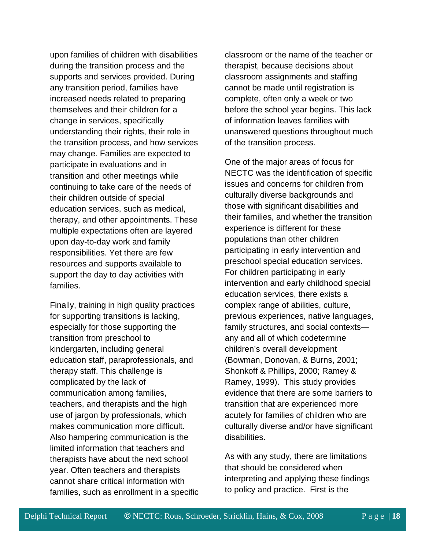upon families of children with disabilities during the transition process and the supports and services provided. During any transition period, families have increased needs related to preparing themselves and their children for a change in services, specifically understanding their rights, their role in the transition process, and how services may change. Families are expected to participate in evaluations and in transition and other meetings while continuing to take care of the needs of their children outside of special education services, such as medical, therapy, and other appointments. These multiple expectations often are layered upon day-to-day work and family responsibilities. Yet there are few resources and supports available to support the day to day activities with families.

Finally, training in high quality practices for supporting transitions is lacking, especially for those supporting the transition from preschool to kindergarten, including general education staff, paraprofessionals, and therapy staff. This challenge is complicated by the lack of communication among families, teachers, and therapists and the high use of jargon by professionals, which makes communication more difficult. Also hampering communication is the limited information that teachers and therapists have about the next school year. Often teachers and therapists cannot share critical information with families, such as enrollment in a specific classroom or the name of the teacher or therapist, because decisions about classroom assignments and staffing cannot be made until registration is complete, often only a week or two before the school year begins. This lack of information leaves families with unanswered questions throughout much of the transition process.

One of the major areas of focus for NECTC was the identification of specific issues and concerns for children from culturally diverse backgrounds and those with significant disabilities and their families, and whether the transition experience is different for these populations than other children participating in early intervention and preschool special education services. For children participating in early intervention and early childhood special education services, there exists a complex range of abilities, culture, previous experiences, native languages, family structures, and social contexts any and all of which codetermine children's overall development (Bowman, Donovan, & Burns, 2001; Shonkoff & Phillips, 2000; Ramey & Ramey, 1999). This study provides evidence that there are some barriers to transition that are experienced more acutely for families of children who are culturally diverse and/or have significant disabilities.

As with any study, there are limitations that should be considered when interpreting and applying these findings to policy and practice. First is the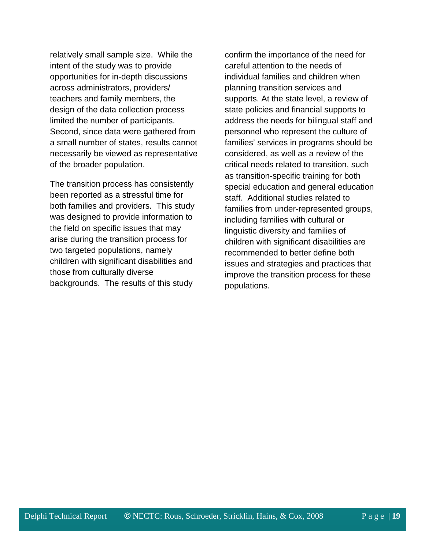relatively small sample size. While the intent of the study was to provide opportunities for in-depth discussions across administrators, providers/ teachers and family members, the design of the data collection process limited the number of participants. Second, since data were gathered from a small number of states, results cannot necessarily be viewed as representative of the broader population.

The transition process has consistently been reported as a stressful time for both families and providers. This study was designed to provide information to the field on specific issues that may arise during the transition process for two targeted populations, namely children with significant disabilities and those from culturally diverse backgrounds. The results of this study

confirm the importance of the need for careful attention to the needs of individual families and children when planning transition services and supports. At the state level, a review of state policies and financial supports to address the needs for bilingual staff and personnel who represent the culture of families' services in programs should be considered, as well as a review of the critical needs related to transition, such as transition-specific training for both special education and general education staff. Additional studies related to families from under-represented groups, including families with cultural or linguistic diversity and families of children with significant disabilities are recommended to better define both issues and strategies and practices that improve the transition process for these populations.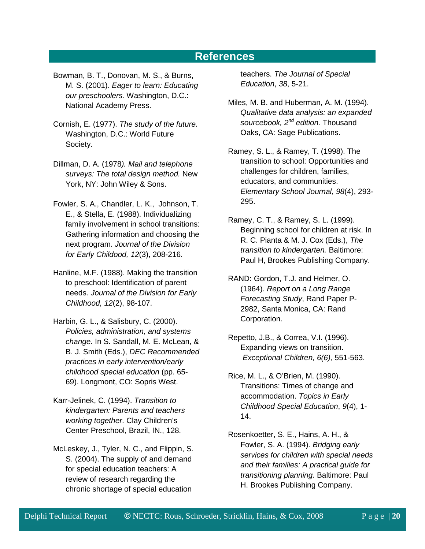## **References**

- Bowman, B. T., Donovan, M. S., & Burns, M. S. (2001). *Eager to learn: Educating our preschoolers.* Washington, D.C.: National Academy Press.
- Cornish, E. (1977). *The study of the future.* Washington, D.C.: World Future Society.
- Dillman, D. A. (1978*). Mail and telephone surveys: The total design method.* New York, NY: [John Wiley & Sons.](http://www.hcirn.com/res/publish/wiley.php)
- Fowler, S. A., Chandler, L. K., Johnson, T. E., & Stella, E. (1988). Individualizing family involvement in school transitions: Gathering information and choosing the next program. *Journal of the Division for Early Childood, 12*(3), 208-216.
- Hanline, M.F. (1988). Making the transition to preschool: Identification of parent needs. *Journal of the Division for Early Childhood, 12*(2), 98-107.
- Harbin, G. L., & Salisbury, C. (2000). *Policies, administration, and systems change.* In S. Sandall, M. E. McLean, & B. J. Smith (Eds.), *DEC Recommended practices in early intervention/early childhood special education* (pp. 65- 69). Longmont, CO: Sopris West.
- Karr-Jelinek, C. (1994). *Transition to kindergarten: Parents and teachers working together*. Clay Children's Center Preschool, Brazil, IN., 128.
- McLeskey, J., Tyler, N. C., and Flippin, S. S. (2004). The supply of and demand for special education teachers: A review of research regarding the chronic shortage of special education

teachers. *The Journal of Special Education*, *38*, 5-21.

- Miles, M. B. and Huberman, A. M. (1994). *Qualitative data analysis: an expanded sourcebook, 2nd edition.* Thousand Oaks, CA: Sage Publications.
- Ramey, S. L., & Ramey, T. (1998). The transition to school: Opportunities and challenges for children, families, educators, and communities. *Elementary School Journal, 98*(4), 293- 295.
- Ramey, C. T., & Ramey, S. L. (1999). Beginning school for children at risk. In R. C. Pianta & M. J. Cox (Eds.), *The transition to kindergarten.* Baltimore: Paul H, Brookes Publishing Company.
- RAND: Gordon, T.J. and Helmer, O. (1964). *Report on a Long Range Forecasting Study*, Rand Paper P-2982, Santa Monica, CA: Rand Corporation.
- Repetto, J.B., & Correa, V.I. (1996). Expanding views on transition. *Exceptional Children, 6(6),* 551-563.
- Rice, M. L., & O'Brien, M. (1990). Transitions: Times of change and accommodation. *Topics in Early Childhood Special Education*, *9*(4), 1- 14.
- Rosenkoetter, S. E., Hains, A. H., & Fowler, S. A. (1994). *Bridging early services for children with special needs and their families: A practical guide for transitioning planning.* Baltimore: Paul H. Brookes Publishing Company.